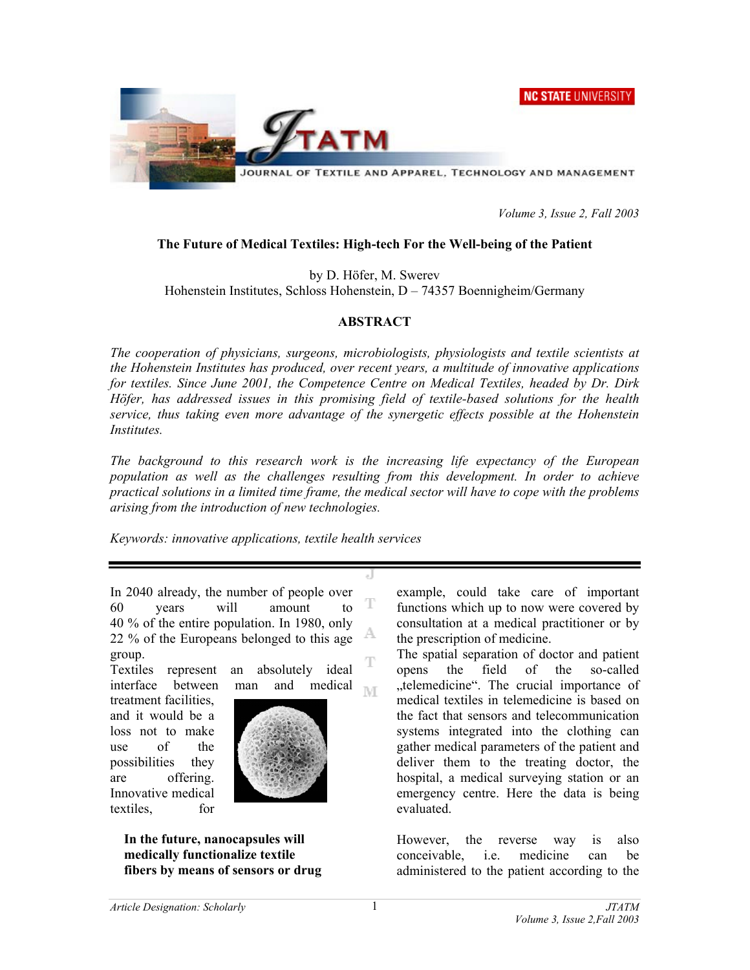



*Volume 3, Issue 2, Fall 2003* 

## **The Future of Medical Textiles: High-tech For the Well-being of the Patient**

by D. Höfer, M. Swerev

Hohenstein Institutes, Schloss Hohenstein, D – 74357 Boennigheim/Germany

## **ABSTRACT**

*The cooperation of physicians, surgeons, microbiologists, physiologists and textile scientists at the Hohenstein Institutes has produced, over recent years, a multitude of innovative applications for textiles. Since June 2001, the Competence Centre on Medical Textiles, headed by Dr. Dirk Höfer, has addressed issues in this promising field of textile-based solutions for the health service, thus taking even more advantage of the synergetic effects possible at the Hohenstein Institutes.* 

*The background to this research work is the increasing life expectancy of the European population as well as the challenges resulting from this development. In order to achieve practical solutions in a limited time frame, the medical sector will have to cope with the problems arising from the introduction of new technologies.* 

**IVE** 

*Keywords: innovative applications, textile health services* 

In 2040 already, the number of people over T 60 years will amount to 40 % of the entire population. In 1980, only A 22 % of the Europeans belonged to this age group. T

Textiles represent an absolutely ideal interface between man and medical

treatment facilities, and it would be a loss not to make use of the possibilities they are offering. Innovative medical textiles, for



**In the future, nanocapsules will medically functionalize textile fibers by means of sensors or drug** example, could take care of important functions which up to now were covered by consultation at a medical practitioner or by the prescription of medicine.

The spatial separation of doctor and patient opens the field of the so-called ..telemedicine". The crucial importance of medical textiles in telemedicine is based on the fact that sensors and telecommunication systems integrated into the clothing can gather medical parameters of the patient and deliver them to the treating doctor, the hospital, a medical surveying station or an emergency centre. Here the data is being evaluated.

However, the reverse way is also conceivable, i.e. medicine can be administered to the patient according to the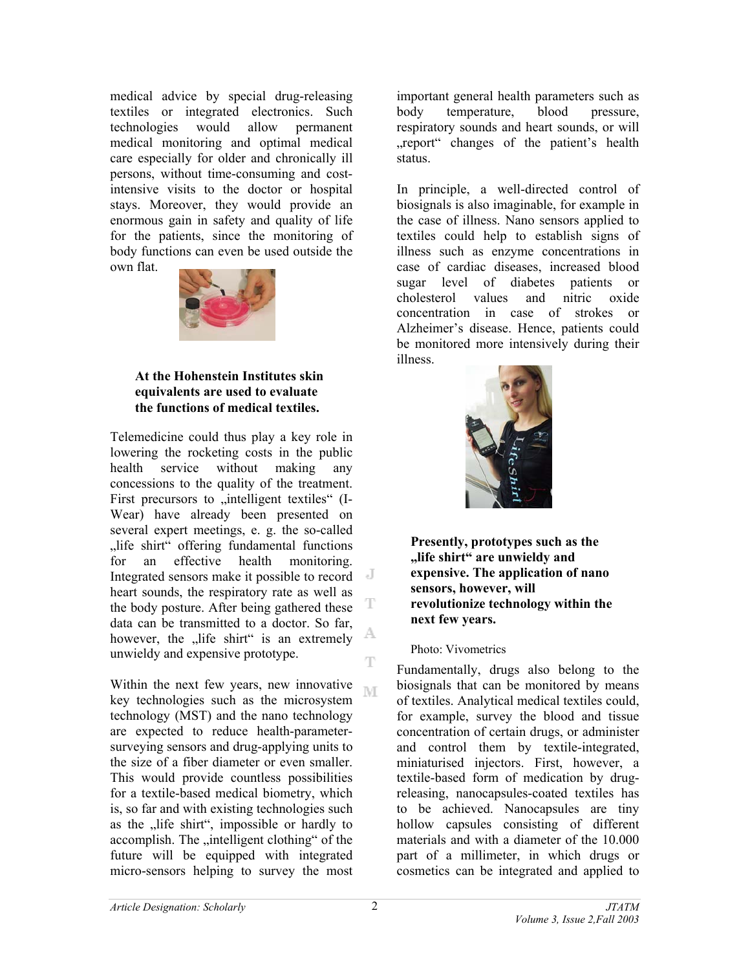medical advice by special drug-releasing textiles or integrated electronics. Such technologies would allow permanent medical monitoring and optimal medical care especially for older and chronically ill persons, without time-consuming and costintensive visits to the doctor or hospital stays. Moreover, they would provide an enormous gain in safety and quality of life for the patients, since the monitoring of body functions can even be used outside the own flat.



## **At the Hohenstein Institutes skin equivalents are used to evaluate the functions of medical textiles.**

Telemedicine could thus play a key role in lowering the rocketing costs in the public health service without making any concessions to the quality of the treatment. First precursors to "intelligent textiles" (I-Wear) have already been presented on several expert meetings, e. g. the so-called "life shirt" offering fundamental functions for an effective health monitoring. Integrated sensors make it possible to record heart sounds, the respiratory rate as well as the body posture. After being gathered these data can be transmitted to a doctor. So far, A however, the "life shirt" is an extremely unwieldy and expensive prototype.  $\mathbb T$ 

Within the next few years, new innovative key technologies such as the microsystem technology (MST) and the nano technology are expected to reduce health-parametersurveying sensors and drug-applying units to the size of a fiber diameter or even smaller. This would provide countless possibilities for a textile-based medical biometry, which is, so far and with existing technologies such as the "life shirt", impossible or hardly to accomplish. The "intelligent clothing" of the future will be equipped with integrated micro-sensors helping to survey the most

important general health parameters such as body temperature, blood pressure, respiratory sounds and heart sounds, or will "report" changes of the patient's health status.

In principle, a well-directed control of biosignals is also imaginable, for example in the case of illness. Nano sensors applied to textiles could help to establish signs of illness such as enzyme concentrations in case of cardiac diseases, increased blood sugar level of diabetes patients or cholesterol values and nitric oxide concentration in case of strokes or Alzheimer's disease. Hence, patients could be monitored more intensively during their illness.



**Presently, prototypes such as the "life shirt" are unwieldy and expensive. The application of nano sensors, however, will revolutionize technology within the next few years.** 

## Photo: Vivometrics

Fundamentally, drugs also belong to the biosignals that can be monitored by means of textiles. Analytical medical textiles could, for example, survey the blood and tissue concentration of certain drugs, or administer and control them by textile-integrated, miniaturised injectors. First, however, a textile-based form of medication by drugreleasing, nanocapsules-coated textiles has to be achieved. Nanocapsules are tiny hollow capsules consisting of different materials and with a diameter of the 10.000 part of a millimeter, in which drugs or cosmetics can be integrated and applied to

T

**NT**